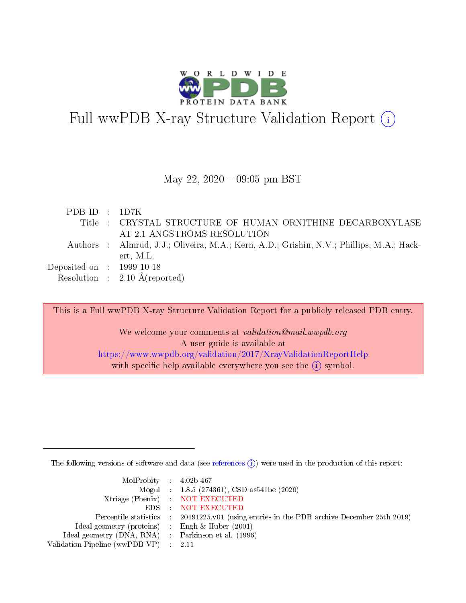

# Full wwPDB X-ray Structure Validation Report  $(i)$

#### May 22,  $2020 - 09:05$  pm BST

| PDBID : 1D7K                         |                                                                                          |
|--------------------------------------|------------------------------------------------------------------------------------------|
|                                      | Title : CRYSTAL STRUCTURE OF HUMAN ORNITHINE DECARBOXYLASE                               |
|                                      | AT 2.1 ANGSTROMS RESOLUTION                                                              |
|                                      | Authors : Almrud, J.J.; Oliveira, M.A.; Kern, A.D.; Grishin, N.V.; Phillips, M.A.; Hack- |
|                                      | ert, M.L.                                                                                |
| Deposited on $\therefore$ 1999-10-18 |                                                                                          |
|                                      | Resolution : $2.10 \text{ Å}$ (reported)                                                 |

This is a Full wwPDB X-ray Structure Validation Report for a publicly released PDB entry. We welcome your comments at validation@mail.wwpdb.org A user guide is available at <https://www.wwpdb.org/validation/2017/XrayValidationReportHelp> with specific help available everywhere you see the  $(i)$  symbol.

The following versions of software and data (see [references](https://www.wwpdb.org/validation/2017/XrayValidationReportHelp#references)  $(i)$ ) were used in the production of this report:

| $MolProbability$ 4.02b-467                          |                                                                                            |
|-----------------------------------------------------|--------------------------------------------------------------------------------------------|
|                                                     | Mogul : $1.8.5$ (274361), CSD as 541be (2020)                                              |
|                                                     | Xtriage (Phenix) NOT EXECUTED                                                              |
|                                                     | EDS : NOT EXECUTED                                                                         |
|                                                     | Percentile statistics : 20191225.v01 (using entries in the PDB archive December 25th 2019) |
| Ideal geometry (proteins) : Engh $\&$ Huber (2001)  |                                                                                            |
| Ideal geometry (DNA, RNA) : Parkinson et al. (1996) |                                                                                            |
| Validation Pipeline (wwPDB-VP) : 2.11               |                                                                                            |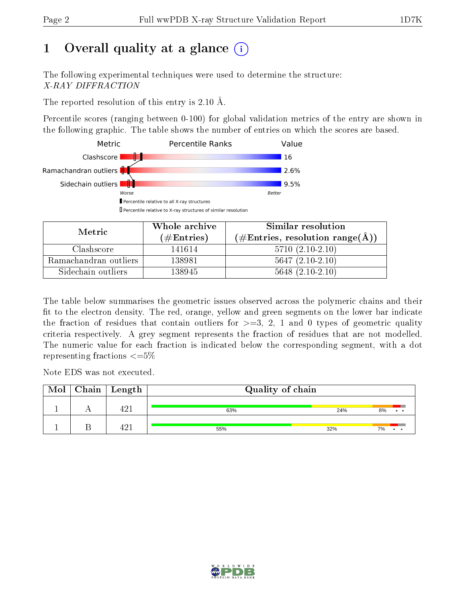# 1 [O](https://www.wwpdb.org/validation/2017/XrayValidationReportHelp#overall_quality)verall quality at a glance  $(i)$

The following experimental techniques were used to determine the structure: X-RAY DIFFRACTION

The reported resolution of this entry is 2.10 Å.

Percentile scores (ranging between 0-100) for global validation metrics of the entry are shown in the following graphic. The table shows the number of entries on which the scores are based.



| Metric                | Whole archive<br>(# $\rm{Entries}$ ) | Similar resolution<br>$(\#\text{Entries}, \text{resolution range}(\text{\AA}) )$ |
|-----------------------|--------------------------------------|----------------------------------------------------------------------------------|
| Clashscore            | 141614                               | $5710(2.10-2.10)$                                                                |
| Ramachandran outliers | 138981                               | $5647(2.10-2.10)$                                                                |
| Sidechain outliers    | 138945                               | $5648$ $(2.10-2.10)$                                                             |

The table below summarises the geometric issues observed across the polymeric chains and their fit to the electron density. The red, orange, yellow and green segments on the lower bar indicate the fraction of residues that contain outliers for  $\geq=3$ , 2, 1 and 0 types of geometric quality criteria respectively. A grey segment represents the fraction of residues that are not modelled. The numeric value for each fraction is indicated below the corresponding segment, with a dot representing fractions  $\leq=5\%$ 

Note EDS was not executed.

| Mol | Chain | Length | Quality of chain |     |    |
|-----|-------|--------|------------------|-----|----|
|     |       | - ۱۵   | 63%              | 24% | 8% |
|     |       | ב הו   | 55%              | 32% | 7% |

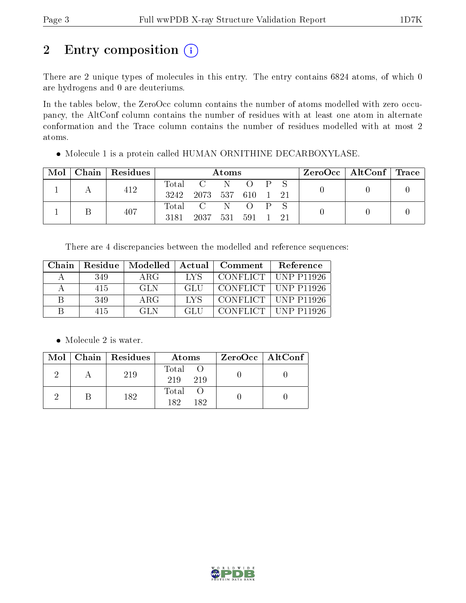# 2 Entry composition (i)

There are 2 unique types of molecules in this entry. The entry contains 6824 atoms, of which 0 are hydrogens and 0 are deuteriums.

In the tables below, the ZeroOcc column contains the number of atoms modelled with zero occupancy, the AltConf column contains the number of residues with at least one atom in alternate conformation and the Trace column contains the number of residues modelled with at most 2 atoms.

Molecule 1 is a protein called HUMAN ORNITHINE DECARBOXYLASE.

| Mol | Chain   Residues |       |                        | Atoms      |                         |              |    | $\text{ZeroOcc}$   AltConf   Trace |  |
|-----|------------------|-------|------------------------|------------|-------------------------|--------------|----|------------------------------------|--|
|     | 412              | Total | 3242 2073 537 610 1 21 | - N        |                         | $\mathbf{P}$ |    |                                    |  |
|     | 407              | 3181  | Total C<br>2037        | - N<br>531 | $\left( \right)$<br>591 | $\mathbf{P}$ | 21 |                                    |  |

There are 4 discrepancies between the modelled and reference sequences:

| Chain | Residue | Modelled   Actual |      | Comment | Reference                   |
|-------|---------|-------------------|------|---------|-----------------------------|
|       | 349     | ARG               | LYS  |         | CONFLICT $\vert$ UNP P11926 |
|       | 415     | -GLN              | -GLI |         | CONFLICT   UNP P11926       |
| R     | 349     | ARG               | LVS  |         | CONFLICT   UNP P11926       |
|       | 415     | GL N              | GL F |         | CONFLICT   UNP P11926       |

• Molecule 2 is water.

|  | Mol   Chain   Residues | Atoms               | $ZeroOcc \   \$ AltConf |
|--|------------------------|---------------------|-------------------------|
|  | 219                    | Total<br>219<br>219 |                         |
|  | 182                    | Total<br>182<br>182 |                         |

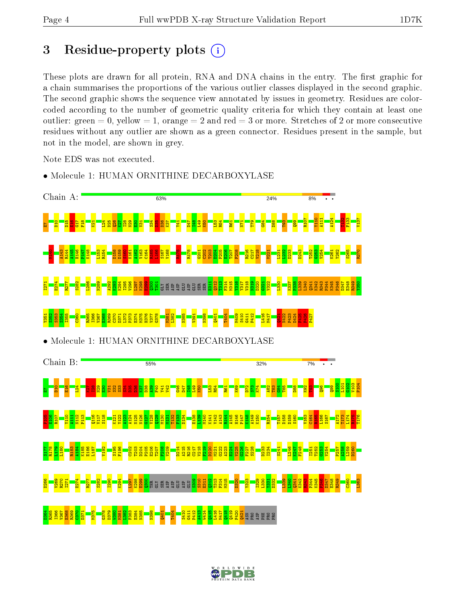## 3 Residue-property plots  $(i)$

These plots are drawn for all protein, RNA and DNA chains in the entry. The first graphic for a chain summarises the proportions of the various outlier classes displayed in the second graphic. The second graphic shows the sequence view annotated by issues in geometry. Residues are colorcoded according to the number of geometric quality criteria for which they contain at least one outlier: green  $= 0$ , yellow  $= 1$ , orange  $= 2$  and red  $= 3$  or more. Stretches of 2 or more consecutive residues without any outlier are shown as a green connector. Residues present in the sample, but not in the model, are shown in grey.

Note EDS was not executed.



• Molecule 1: HUMAN ORNITHINE DECARBOXYLASE

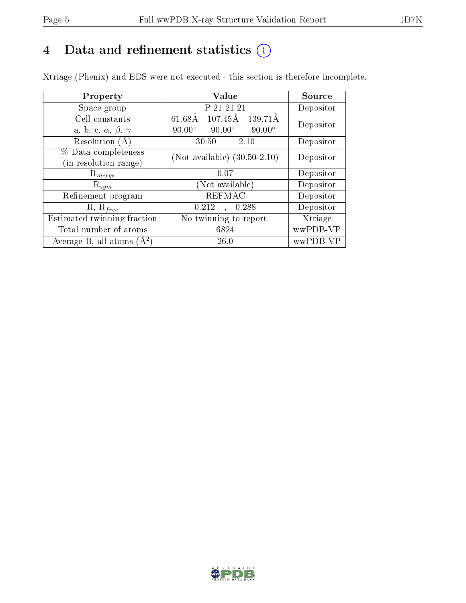# 4 Data and refinement statistics  $(i)$

Xtriage (Phenix) and EDS were not executed - this section is therefore incomplete.

| Property                               | Value                                              | Source    |  |
|----------------------------------------|----------------------------------------------------|-----------|--|
| Space group                            | P 21 21 21                                         | Depositor |  |
| Cell constants                         | $107.45\text{\AA}$<br>$61.68\text{\AA}$<br>139.71Å | Depositor |  |
| a, b, c, $\alpha$ , $\beta$ , $\gamma$ | $90.00^\circ$<br>$90.00^\circ$<br>$90.00^\circ$    |           |  |
| Resolution (A)                         | 30.50<br>$-2.10$                                   | Depositor |  |
| % Data completeness                    | (Not available) $(30.50-2.10)$                     | Depositor |  |
| in resolution range)                   |                                                    |           |  |
| $\mathrm{R}_{merge}$                   | 0.07                                               | Depositor |  |
| $\mathrm{R}_{sym}$                     | (Not available)                                    | Depositor |  |
| Refinement program                     | <b>REFMAC</b>                                      | Depositor |  |
| $R, R_{free}$                          | 0.212<br>0.288                                     | Depositor |  |
| Estimated twinning fraction            | No twinning to report.                             | Xtriage   |  |
| Total number of atoms                  | 6824                                               | wwPDB-VP  |  |
| Average B, all atoms $(A^2)$           | 26.0                                               | wwPDB-VP  |  |

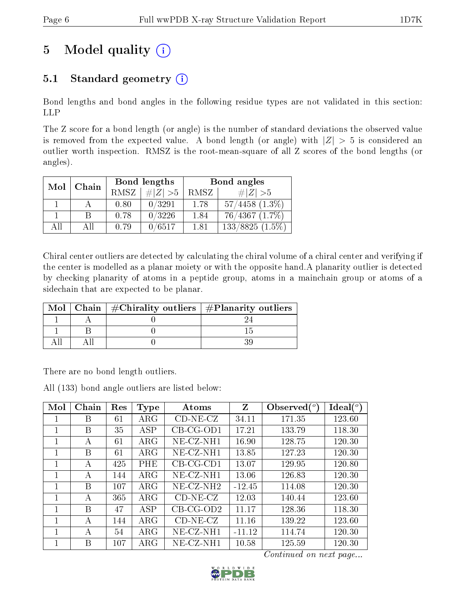# 5 Model quality  $(i)$

## 5.1 Standard geometry  $(i)$

Bond lengths and bond angles in the following residue types are not validated in this section: LLP

The Z score for a bond length (or angle) is the number of standard deviations the observed value is removed from the expected value. A bond length (or angle) with  $|Z| > 5$  is considered an outlier worth inspection. RMSZ is the root-mean-square of all Z scores of the bond lengths (or angles).

| Mol | Chain  |      | Bond lengths | Bond angles |                     |  |
|-----|--------|------|--------------|-------------|---------------------|--|
|     |        | RMSZ | $\# Z  > 5$  | RMSZ        | # $ Z  > 5$         |  |
|     |        | 0.80 | 0/3291       | 1.78        | $57/4458$ $(1.3\%)$ |  |
|     |        | 0.78 | 0/3226       | 1.84        | $76/4367$ $(1.7\%)$ |  |
| AП  | $A$ ll | 0.79 | 0/6517       | 1.81        | $133/8825(1.5\%)$   |  |

Chiral center outliers are detected by calculating the chiral volume of a chiral center and verifying if the center is modelled as a planar moiety or with the opposite hand.A planarity outlier is detected by checking planarity of atoms in a peptide group, atoms in a mainchain group or atoms of a sidechain that are expected to be planar.

| Mol | Chain $\#$ Chirality outliers $\#$ Planarity outliers |  |
|-----|-------------------------------------------------------|--|
|     |                                                       |  |
|     |                                                       |  |
|     |                                                       |  |

There are no bond length outliers.

All (133) bond angle outliers are listed below:

| Mol | Chain | Res | <b>Type</b> | Atoms        | Z        | Observed $(^\circ)$ | Ideal (°) |
|-----|-------|-----|-------------|--------------|----------|---------------------|-----------|
|     | В     | 61  | $\rm{ARG}$  | $CD-NE- CZ$  | 34.11    | 171.35              | 123.60    |
| 1   | В     | 35  | <b>ASP</b>  | $CB-CG-OD1$  | 17.21    | 133.79              | 118.30    |
| 1   | А     | 61  | $\rm{ARG}$  | $NE-CZ-NH1$  | 16.90    | 128.75              | 120.30    |
|     | В     | 61  | $\rm{ARG}$  | $NE$ -CZ-NH1 | 13.85    | 127.23              | 120.30    |
| 1   | А     | 425 | PHE         | $CB-CG-CD1$  | 13.07    | 129.95              | 120.80    |
| 1   | А     | 144 | $\rm{ARG}$  | $NE-CZ-NH1$  | 13.06    | 126.83              | 120.30    |
| 1   | В     | 107 | $\rm{ARG}$  | $NE-CZ-NH2$  | $-12.45$ | 114.08              | 120.30    |
| 1   | А     | 365 | $\rm{ARG}$  | $CD-NE- CZ$  | 12.03    | 140.44              | 123.60    |
| 1   | B     | 47  | <b>ASP</b>  | $CB-CG-OD2$  | 11.17    | 128.36              | 118.30    |
| 1   | А     | 144 | $\rm{ARG}$  | $CD-NE- CZ$  | 11.16    | 139.22              | 123.60    |
|     | А     | 54  | $\rm{ARG}$  | $NE-CZ-NH1$  | $-11.12$ | 114.74              | 120.30    |
| 1   | В     | 107 | ${\rm ARG}$ | $NE-CZ-NH1$  | 10.58    | 125.59              | 120.30    |

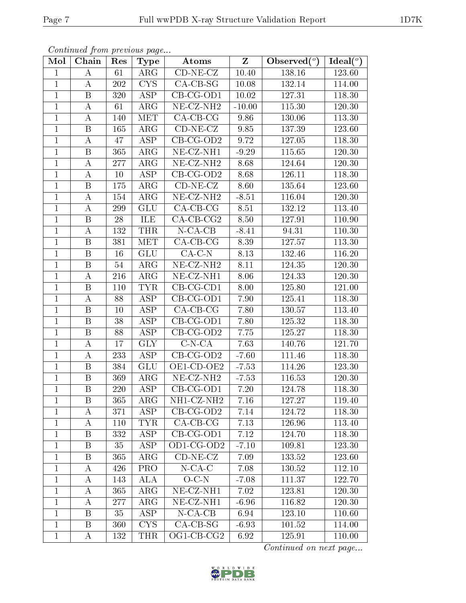|--|

| Continued from previous page |  |  |
|------------------------------|--|--|

| Mol            | Chain                   | Res | <b>Type</b>             | Atoms                          | $\overline{\mathbf{Z}}$ | Observed $\overline{(^{\circ})}$ | Ideal $(°)$ |
|----------------|-------------------------|-----|-------------------------|--------------------------------|-------------------------|----------------------------------|-------------|
| $\mathbf{1}$   | А                       | 61  | $\rm{ARG}$              | $CD-NE-CZ$                     | 10.40                   | 138.16                           | 123.60      |
| $\mathbf{1}$   | $\bf{A}$                | 202 | <b>CYS</b>              | $CA-CB-SG$                     | 10.08                   | 132.14                           | 114.00      |
| $\overline{1}$ | $\overline{B}$          | 320 | <b>ASP</b>              | $CB-CG-OD1$                    | 10.02                   | 127.31                           | 118.30      |
| $\mathbf{1}$   | $\bf{A}$                | 61  | $\rm{ARG}$              | NE-CZ-NH <sub>2</sub>          | $-10.00$                | 115.30                           | 120.30      |
| $\mathbf{1}$   | $\mathbf{A}$            | 140 | <b>MET</b>              | $CA-CB-CG$                     | 9.86                    | 130.06                           | 113.30      |
| $\mathbf{1}$   | B                       | 165 | $\rm{ARG}$              | $CD-NE- CZ$                    | 9.85                    | 137.39                           | 123.60      |
| $\mathbf{1}$   | $\boldsymbol{A}$        | 47  | ASP                     | $CB-CG-OD2$                    | 9.72                    | 127.05                           | 118.30      |
| $\mathbf{1}$   | B                       | 365 | $AR\overline{G}$        | $NE- CZ-NH1$                   | $-9.29$                 | 115.65                           | 120.30      |
| $\mathbf{1}$   | $\bf{A}$                | 277 | $\rm{ARG}$              | NE-CZ-NH <sub>2</sub>          | 8.68                    | 124.64                           | 120.30      |
| $\mathbf{1}$   | A                       | 10  | ASP                     | $CB-CG-OD2$                    | 8.68                    | 126.11                           | 118.30      |
| $\mathbf{1}$   | B                       | 175 | $\rm{ARG}$              | $CD-NE- CZ$                    | 8.60                    | 135.64                           | 123.60      |
| $\mathbf{1}$   | $\bf{A}$                | 154 | $\rm{ARG}$              | $NE$ -CZ-NH <sub>2</sub>       | $-8.51$                 | 116.04                           | 120.30      |
| $\mathbf{1}$   | A                       | 299 | GLU                     | $CA-CB-CG$                     | 8.51                    | 132.12                           | 113.40      |
| $\mathbf{1}$   | $\, {\bf B}$            | 28  | ILE                     | $CA$ -CB-CG2                   | 8.50                    | 127.91                           | 110.90      |
| $\mathbf{1}$   | $\boldsymbol{A}$        | 132 | <b>THR</b>              | $N$ -CA-CB                     | $-8.41$                 | 94.31                            | 110.30      |
| $\mathbf{1}$   | $\boldsymbol{B}$        | 381 | <b>MET</b>              | $CA-CB-CG$                     | 8.39                    | 127.57                           | 113.30      |
| $\mathbf{1}$   | B                       | 16  | <b>GLU</b>              | $CA-C-N$                       | 8.13                    | 132.46                           | 116.20      |
| $\mathbf{1}$   | B                       | 54  | $\rm{ARG}$              | NE-CZ-NH <sub>2</sub>          | $8.11\,$                | 124.35                           | 120.30      |
| $\mathbf{1}$   | $\boldsymbol{A}$        | 216 | $\rm{ARG}$              | $\overline{\text{NE}}$ -CZ-NH1 | 8.06                    | 124.33                           | 120.30      |
| $\mathbf{1}$   | $\boldsymbol{B}$        | 110 | <b>TYR</b>              | $CB-CG-CD1$                    | 8.00                    | 125.80                           | 121.00      |
| $\mathbf{1}$   | $\bf{A}$                | 88  | ASP                     | $CB-CG-OD1$                    | 7.90                    | 125.41                           | 118.30      |
| $\overline{1}$ | $\overline{\mathrm{B}}$ | 10  | $\overline{\text{ASP}}$ | $CA-CB-CG$                     | 7.80                    | 130.57                           | 113.40      |
| $\mathbf{1}$   | B                       | 38  | ASP                     | $CB-CG-OD1$                    | 7.80                    | 125.32                           | 118.30      |
| $\mathbf{1}$   | $\boldsymbol{B}$        | 88  | $\overline{\text{ASP}}$ | $CB-CG-OD2$                    | 7.75                    | 125.27                           | 118.30      |
| $\mathbf{1}$   | $\bf{A}$                | 17  | <b>GLY</b>              | $\overline{C}$ -N-CA           | 7.63                    | 140.76                           | 121.70      |
| $\mathbf{1}$   | $\bf{A}$                | 233 | ASP                     | $CB-CG-OD2$                    | $-7.60$                 | 111.46                           | 118.30      |
| $\mathbf{1}$   | B                       | 384 | <b>GLU</b>              | $OE1$ -CD-OE2                  | $-7.53$                 | 114.26                           | 123.30      |
| $\mathbf{1}$   | $\, {\bf B}$            | 369 | $\rm{ARG}$              | NE-CZ-NH <sub>2</sub>          | $-7.53$                 | 116.53                           | 120.30      |
| $\mathbf{1}$   | $\, {\bf B}$            | 220 | <b>ASP</b>              | $CB-CG-OD1$                    | 7.20                    | 124.78                           | 118.30      |
| 1              | $\boldsymbol{B}$        | 365 | $\rm{ARG}$              | NH1-CZ-NH2                     | 7.16                    | 127.27                           | 119.40      |
| $\mathbf{1}$   | А                       | 371 | ASP                     | $CB-CG-OD2$                    | 7.14                    | 124.72                           | 118.30      |
| 1              | A                       | 110 | TYR.                    | $CA-CB-CG$                     | 7.13                    | 126.96                           | 113.40      |
| $\mathbf{1}$   | B                       | 332 | ASP                     | $CB-CG-OD1$                    | 7.12                    | 124.70                           | 118.30      |
| $\mathbf{1}$   | B                       | 35  | ASP                     | OD1-CG-OD2                     | $-7.10$                 | 109.81                           | 123.30      |
| $\mathbf{1}$   | B                       | 365 | $\rm{ARG}$              | $CD-NE-CZ$                     | 7.09                    | 133.52                           | 123.60      |
| $\mathbf{1}$   | A                       | 426 | $\overline{\text{PRO}}$ | $N$ -CA-C                      | 7.08                    | 130.52                           | 112.10      |
| $\mathbf{1}$   | А                       | 143 | ALA                     | $O-C-N$                        | $-7.08$                 | 111.37                           | 122.70      |
| $\mathbf{1}$   | A                       | 365 | $\rm{ARG}$              | NE-CZ-NH1                      | 7.02                    | 123.81                           | 120.30      |
| $\mathbf{1}$   | А                       | 277 | $\rm{ARG}$              | NE-CZ-NH1                      | $-6.96$                 | $116.\overline{82}$              | 120.30      |
| $\mathbf{1}$   | $\mathbf{B}$            | 35  | <b>ASP</b>              | $N-CA-CB$                      | 6.94                    | 123.10                           | 110.60      |
| $\mathbf{1}$   | B                       | 360 | $\overline{\text{CYS}}$ | $CA-CB-SG$                     | $-6.93$                 | 101.52                           | 114.00      |
| $\mathbf{1}$   | A                       | 132 | <b>THR</b>              | OG1-CB-CG2                     | 6.92                    | 125.91                           | 110.00      |

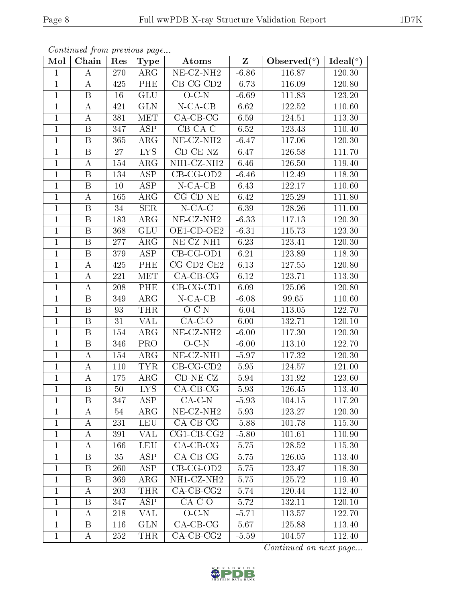|--|--|

|                | <i>Continued from previous page</i> |                  |                         |                                |                         |                |          |
|----------------|-------------------------------------|------------------|-------------------------|--------------------------------|-------------------------|----------------|----------|
| Mol            | Chain                               | Res              | <b>Type</b>             | <b>Atoms</b>                   | $\overline{\textbf{Z}}$ | Observed $(°)$ | Ideal(°) |
| $\mathbf{1}$   | А                                   | 270              | $\overline{\text{ARG}}$ | $\overline{\text{NE- CZ-NH2}}$ | $-6.86$                 | 116.87         | 120.30   |
| $\overline{1}$ | A                                   | 425              | PHE                     | $CB-CG-CD2$                    | $-6.73$                 | 116.09         | 120.80   |
| $\mathbf{1}$   | B                                   | 16               | GLU                     | $O-C-N$                        | $-6.69$                 | 111.83         | 123.20   |
| $\mathbf{1}$   | A                                   | 421              | <b>GLN</b>              | $N$ -CA-CB                     | 6.62                    | 122.52         | 110.60   |
| $\mathbf{1}$   | А                                   | 381              | <b>MET</b>              | $CA-CB-CG$                     | 6.59                    | 124.51         | 113.30   |
| $\overline{1}$ | B                                   | 347              | <b>ASP</b>              | $CB$ -CA-C                     | 6.52                    | 123.43         | 110.40   |
| $\mathbf{1}$   | B                                   | 365              | $\rm{ARG}$              | NE-CZ-NH <sub>2</sub>          | $-6.47$                 | 117.06         | 120.30   |
| $\mathbf{1}$   | $\overline{B}$                      | 27               | <b>LYS</b>              | $CD-CE-NZ$                     | 6.47                    | 126.58         | 111.70   |
| 1              | A                                   | 154              | $\rm{ARG}$              | NH1-CZ-NH2                     | 6.46                    | 126.50         | 119.40   |
| $\mathbf{1}$   | $\boldsymbol{B}$                    | $\overline{1}34$ | $\overline{\text{ASP}}$ | $CB-CG-OD2$                    | $-6.46$                 | 112.49         | 118.30   |
| $\mathbf{1}$   | B                                   | 10               | <b>ASP</b>              | $N$ -CA-CB                     | 6.43                    | 122.17         | 110.60   |
| $\mathbf{1}$   | A                                   | 165              | $\rm{ARG}$              | $CG$ - $CD$ - $NE$             | 6.42                    | 125.29         | 111.80   |
| $\mathbf{1}$   | B                                   | 34               | <b>SER</b>              | $N$ -CA-C                      | 6.39                    | 128.26         | 111.00   |
| $\mathbf{1}$   | B                                   | 183              | ARG                     | NE-CZ-NH <sub>2</sub>          | $-6.33$                 | 117.13         | 120.30   |
| $\mathbf{1}$   | $\boldsymbol{B}$                    | 368              | <b>GLU</b>              | OE1-CD-OE2                     | $-6.31$                 | 115.73         | 123.30   |
| $\mathbf{1}$   | B                                   | 277              | $\rm{ARG}$              | $NE- CZ-NH1$                   | 6.23                    | 123.41         | 120.30   |
| $\mathbf{1}$   | B                                   | 379              | <b>ASP</b>              | CB-CG-OD1                      | 6.21                    | 123.89         | 118.30   |
| 1              | А                                   | 425              | PHE                     | $CG$ - $CD$ 2- $CE$ 2          | 6.13                    | 127.55         | 120.80   |
| $\mathbf{1}$   | A                                   | 221              | <b>MET</b>              | $CA$ -CB-CG                    | 6.12                    | 123.71         | 113.30   |
| $\mathbf{1}$   | А                                   | 208              | PHE                     | $CB-CG-CD1$                    | 6.09                    | 125.06         | 120.80   |
| $\overline{1}$ | $\boldsymbol{B}$                    | 349              | ARG                     | $N$ -CA-CB                     | $-6.08$                 | 99.65          | 110.60   |
| $\mathbf{1}$   | $\boldsymbol{B}$                    | 93               | <b>THR</b>              | $O-C-N$                        | $-6.04$                 | 113.05         | 122.70   |
| $\mathbf{1}$   | B                                   | 31               | <b>VAL</b>              | $CA-C-O$                       | 6.00                    | 132.71         | 120.10   |
| $\mathbf{1}$   | B                                   | 154              | $\rm{ARG}$              | $NE- CZ-NH2$                   | $-6.00$                 | 117.30         | 120.30   |
| $\mathbf{1}$   | B                                   | 346              | PRO                     | $O-C-N$                        | $-6.00$                 | 113.10         | 122.70   |
| $\overline{1}$ | A                                   | 154              | $\rm{ARG}$              | $\overline{\text{NE- CZ-NH1}}$ | $-5.97$                 | 117.32         | 120.30   |
| $\overline{1}$ | A                                   | 110              | <b>TYR</b>              | $CB-CG-CD2$                    | 5.95                    | 124.57         | 121.00   |
| $\mathbf 1$    | $\boldsymbol{A}$                    | 175              | $\rm{ARG}$              | $CD-NE- CZ$                    | 5.94                    | 131.92         | 123.60   |
| 1              | $\mathbf B$                         | $50\,$           | $\overline{\text{LYS}}$ | $CA-CB-CG$                     | 5.93                    | 126.45         | 113.40   |
| $\mathbf{1}$   | B                                   | 347              | ASP                     | $CA-C-N$                       | $-5.93$                 | 104.15         | 117.20   |
| $\mathbf{1}$   | А                                   | 54               | $\rm{ARG}$              | NE-CZ-NH <sub>2</sub>          | 5.93                    | 123.27         | 120.30   |
| $\mathbf{1}$   | А                                   | 231              | <b>LEU</b>              | $CA-CB-CG$                     | $-5.88$                 | 101.78         | 115.30   |
| $\mathbf 1$    | Α                                   | 391              | <b>VAL</b>              | $CG1$ - $CB$ - $CG2$           | $-5.80$                 | 101.61         | 110.90   |
| $\mathbf{1}$   | A                                   | 166              | <b>LEU</b>              | $CA-CB-CG$                     | 5.75                    | 128.52         | 115.30   |
| $\mathbf{1}$   | B                                   | 35               | ASP                     | $CA-CB-CG$                     | 5.75                    | 126.05         | 113.40   |
| $\mathbf{1}$   | B                                   | 260              | ASP                     | $CB-CG-OD2$                    | 5.75                    | 123.47         | 118.30   |
| 1              | Β                                   | 369              | $\rm{ARG}$              | NH1-CZ-NH2                     | 5.75                    | 125.72         | 119.40   |
| $\mathbf{1}$   | A                                   | 203              | <b>THR</b>              | $CA$ -CB-CG2                   | 5.74                    | 120.44         | 112.40   |
| $\mathbf{1}$   | B                                   | 347              | ASP                     | $CA-C-O$                       | 5.72                    | 132.11         | 120.10   |
| $\mathbf{1}$   | А                                   | 218              | VAL                     | $O-C-N$                        | $-5.71$                 | 113.57         | 122.70   |
| $\mathbf{1}$   | Β                                   | 116              | <b>GLN</b>              | $CA-CB-CG$                     | 5.67                    | 125.88         | 113.40   |
| $\mathbf{1}$   | А                                   | 252              | <b>THR</b>              | $CA-CB-CG2$                    | $-5.59$                 | 104.57         | 112.40   |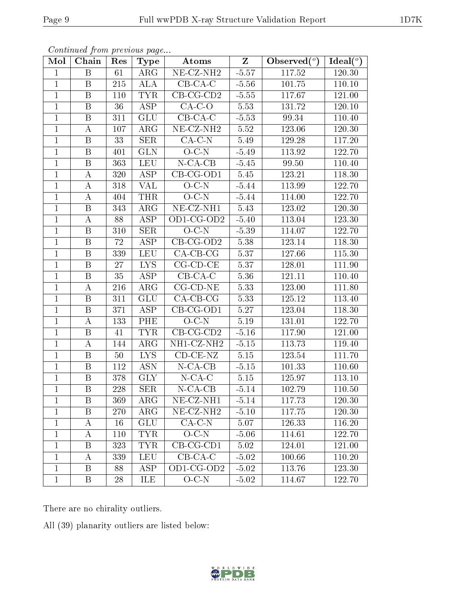| Mol            | Chain                   | Res | <b>Type</b>             | Atoms              | $Z_{\parallel}$ | Observed $(°)$ | Ideal(°) |
|----------------|-------------------------|-----|-------------------------|--------------------|-----------------|----------------|----------|
| $\mathbf{1}$   | $\mathbf B$             | 61  | $\rm{ARG}$              | NE-CZ-NH2          | $-5.57$         | 117.52         | 120.30   |
| $\mathbf{1}$   | B                       | 215 | <b>ALA</b>              | $CB-CA-C$          | $-5.56$         | 101.75         | 110.10   |
| $\mathbf{1}$   | $\boldsymbol{B}$        | 110 | <b>TYR</b>              | $CB-CG-CD2$        | $-5.55$         | 117.67         | 121.00   |
| $\mathbf{1}$   | $\, {\bf B}$            | 36  | ASP                     | $CA-C-O$           | 5.53            | 131.72         | 120.10   |
| $\mathbf{1}$   | B                       | 311 | GLU                     | $CB-CA-C$          | $-5.53$         | 99.34          | 110.40   |
| $\mathbf{1}$   | А                       | 107 | $\rm{ARG}$              | $NE- CZ-NH2$       | 5.52            | 123.06         | 120.30   |
| $\mathbf{1}$   | $\mathbf B$             | 33  | <b>SER</b>              | $CA-C-N$           | 5.49            | 129.28         | 117.20   |
| $\overline{1}$ | $\overline{B}$          | 401 | GLN                     | $O-C-N$            | $-5.49$         | 113.92         | 122.70   |
| $\mathbf{1}$   | B                       | 363 | <b>LEU</b>              | $N$ -CA-CB         | $-5.45$         | 99.50          | 110.40   |
| $\overline{1}$ | $\boldsymbol{A}$        | 320 | $\overline{\text{ASP}}$ | $CB-CG-OD1$        | $5.45\,$        | 123.21         | 118.30   |
| $\mathbf{1}$   | А                       | 318 | <b>VAL</b>              | $O-C-N$            | $-5.44$         | 113.99         | 122.70   |
| $\overline{1}$ | $\boldsymbol{A}$        | 404 | <b>THR</b>              | $O-C-N$            | $-5.44$         | 114.00         | 122.70   |
| $\mathbf{1}$   | $\boldsymbol{B}$        | 343 | $\rm{ARG}$              | $NE- CZ-NH1$       | 5.43            | 123.02         | 120.30   |
| $\mathbf{1}$   | $\boldsymbol{A}$        | 88  | <b>ASP</b>              | OD1-CG-OD2         | $-5.40$         | 113.04         | 123.30   |
| $\mathbf{1}$   | $\mathbf{B}$            | 310 | <b>SER</b>              | $O-C-N$            | $-5.39$         | 114.07         | 122.70   |
| $\mathbf{1}$   | $\boldsymbol{B}$        | 72  | ASP                     | CB-CG-OD2          | 5.38            | 123.14         | 118.30   |
| $\overline{1}$ | $\, {\bf B}$            | 339 | <b>LEU</b>              | $CA-CB-CG$         | 5.37            | 127.66         | 115.30   |
| $\mathbf{1}$   | $\, {\bf B}$            | 27  | ${\rm LYS}$             | $CG$ - $CD$ - $CE$ | 5.37            | 128.01         | 111.90   |
| $\mathbf{1}$   | $\, {\bf B}$            | 35  | <b>ASP</b>              | $CB-CA-C$          | 5.36            | 121.11         | 110.40   |
| $\mathbf{1}$   | А                       | 216 | $\rm{ARG}$              | $CG$ - $CD$ - $NE$ | 5.33            | 123.00         | 111.80   |
| $\mathbf{1}$   | $\, {\bf B}$            | 311 | GLU                     | $CA-CB-CG$         | 5.33            | 125.12         | 113.40   |
| $\mathbf{1}$   | $\boldsymbol{B}$        | 371 | $\overline{\text{ASP}}$ | $CB-CG-OD1$        | 5.27            | 123.04         | 118.30   |
| $\mathbf{1}$   | A                       | 133 | PHE                     | $O-C-N$            | 5.19            | 131.01         | 122.70   |
| $\mathbf{1}$   | B                       | 41  | <b>TYR</b>              | $CB-CG-CD2$        | $-5.16$         | 117.90         | 121.00   |
| $\mathbf{1}$   | А                       | 144 | $\rm{ARG}$              | NH1-CZ-NH2         | $-5.15$         | 113.73         | 119.40   |
| $\mathbf{1}$   | B                       | 50  | LYS.                    | $CD$ - $CE$ - $NZ$ | $5.15\,$        | 123.54         | 111.70   |
| $\overline{1}$ | $\boldsymbol{B}$        | 112 | <b>ASN</b>              | $N$ -CA-CB         | $-5.15$         | 101.33         | 110.60   |
| $\mathbf{1}$   | B                       | 378 | GLY                     | $N$ -CA-C          | 5.15            | 125.97         | 113.10   |
| $\overline{1}$ | $\overline{\mathrm{B}}$ | 228 | SER                     | $N$ -CA-CB         | $-5.14$         | 102.79         | 110.50   |
| $\perp$        | Β                       | 369 | $\rm{ARG}$              | $NE-CZ-NH1$        | -5.14           | 117.73         | 120.30   |
| $\mathbf{1}$   | B                       | 270 | $\rm{ARG}$              | $NE- CZ-NH2$       | $-5.10$         | 117.75         | 120.30   |
| 1              | A                       | 16  | <b>GLU</b>              | $CA-C-N$           | 5.07            | 126.33         | 116.20   |
| 1              | А                       | 110 | <b>TYR</b>              | $O-C-N$            | $-5.06$         | 114.61         | 122.70   |
| $\mathbf{1}$   | Β                       | 323 | <b>TYR</b>              | $CB-CG-CD1$        | 5.02            | 124.01         | 121.00   |
| $\mathbf{1}$   | А                       | 339 | <b>LEU</b>              | $CB-CA-C$          | $-5.02$         | 100.66         | 110.20   |
| $\mathbf{1}$   | Β                       | 88  | ASP                     | $OD1$ -CG- $OD2$   | $-5.02$         | 113.76         | 123.30   |
| $\mathbf{1}$   | Β                       | 28  | ILE                     | $O-C-N$            | $-5.02$         | 114.67         | 122.70   |

There are no chirality outliers.

All (39) planarity outliers are listed below:

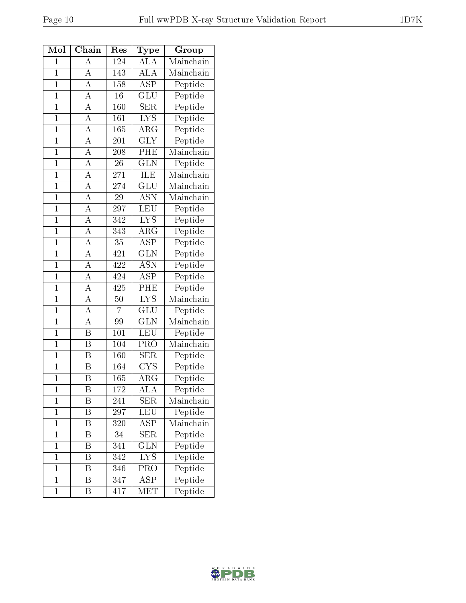| Mol            | Chain                   | Res              | Type                      | Group                            |
|----------------|-------------------------|------------------|---------------------------|----------------------------------|
| $\mathbf{1}$   | А                       | 124              | $\overline{\rm ALA}$      | Mainchain                        |
| $\overline{1}$ | $\overline{\rm A}$      | 143              | $\overline{\rm ALA}$      | Mainchain                        |
| $\mathbf{1}$   | $\boldsymbol{A}$        | 158              | $\overline{\text{ASP}}$   | Peptide                          |
| $\overline{1}$ | $\overline{\rm A}$      | 16               | $\overline{{\rm GLU}}$    | Peptide                          |
| $\overline{1}$ | $\overline{\rm A}$      | 160              | SER                       | Peptide                          |
| $\overline{1}$ | $\overline{\rm A}$      | $\overline{161}$ | $\overline{\text{LYS}}$   | Peptide                          |
| $\overline{1}$ | $\overline{\rm A}$      | $\overline{165}$ | ARG                       | Peptide                          |
| $\mathbf 1$    | $\overline{A}$          | 201              | <b>GLY</b>                | Peptide                          |
| $\overline{1}$ | $\overline{\rm A}$      | 208              | PHE                       | Mainchain                        |
| $\overline{1}$ | $\overline{A}$          | 26               | $\overline{\text{GLN}}$   | Peptide                          |
| $\overline{1}$ | $\overline{\rm A}$      | $\overline{271}$ | $\overline{\rm ILE}$      | $\overline{\text{Mainchain}}$    |
| $\mathbf{1}$   | $\overline{\rm A}$      | 274              | GLU                       | $\overline{\mathrm{M}}$ ainchain |
| $\mathbf{1}$   | $\overline{\rm A}$      | 29               | <b>ASN</b>                | Mainchain                        |
| $\overline{1}$ | $\overline{A}$          | 297              | $\overline{\text{LEU}}$   | Peptide                          |
| $\overline{1}$ | $\overline{\rm A}$      | $\overline{342}$ | $\overline{\text{LYS}}$   | Peptide                          |
| $\overline{1}$ | $\overline{A}$          | 343              | $\widehat{\text{ARG}}$    | Peptide                          |
| $\overline{1}$ | $\overline{\rm A}$      | 35               | $\overline{\text{ASP}}$   | Peptide                          |
| $\overline{1}$ | $\overline{\rm A}$      | 421              | $\overline{\text{GLN}}$   | Peptide                          |
| $\overline{1}$ | $\overline{A}$          | 422              | $\overline{\text{ASN}}$   | Peptide                          |
| $\overline{1}$ | $\overline{\rm A}$      | 424              | $AS\overline{P}$          | Peptide                          |
| $\overline{1}$ | $\overline{\rm A}$      | 425              | $\overline{\mathrm{PHE}}$ | Peptide                          |
| $\mathbf{1}$   | $\boldsymbol{A}$        | 50               | <b>LYS</b>                | Mainchain                        |
| $\overline{1}$ | $\overline{A}$          | $\overline{7}$   | $\overline{{\rm GLU}}$    | Peptide                          |
| $\overline{1}$ | $\overline{\rm A}$      | 99               | <b>GLN</b>                | Mainchain                        |
| $\mathbf{1}$   | $\boldsymbol{B}$        | 101              | <b>LEU</b>                | Peptide                          |
| $\overline{1}$ | $\overline{\mathrm{B}}$ | 104              | PRO                       | Mainchain                        |
| $\mathbf 1$    | B                       | 160              | <b>SER</b>                | Peptide                          |
| $\overline{1}$ | $\overline{\mathrm{B}}$ | 164              | $\overline{\text{CYS}}$   | Peptide                          |
| $\overline{1}$ | Β                       | 165              | ${\rm ARG}$               | Peptide                          |
| $\mathbf{1}$   | Β                       | $\overline{172}$ | $\overline{\rm ALA}$      | Peptide                          |
| $\mathbf 1$    | Β                       | 241              | SER                       | Mainchain                        |
| $\mathbf 1$    | Β                       | 297              | LEU                       | Peptide                          |
| $\mathbf{1}$   | Β                       | 320              | $AS\overline{P}$          | Mainchain                        |
| $\overline{1}$ | Β                       | 34               | <b>SER</b>                | Peptide                          |
| $\mathbf{1}$   | Β                       | 341              | <b>GLN</b>                | Peptide                          |
| $\mathbf 1$    | Β                       | 342              | <b>LYS</b>                | Peptide                          |
| $\mathbf 1$    | Β                       | 346              | PRO                       | Peptide                          |
| $\mathbf{1}$   | B                       | 347              | $\overline{\text{ASP}}$   | Peptide                          |
| $\mathbf{1}$   | Β                       | 417              | MET                       | Peptide                          |

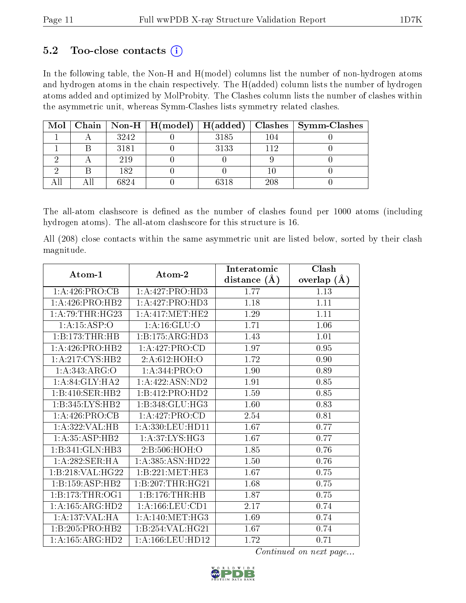### $5.2$  Too-close contacts  $(i)$

In the following table, the Non-H and H(model) columns list the number of non-hydrogen atoms and hydrogen atoms in the chain respectively. The H(added) column lists the number of hydrogen atoms added and optimized by MolProbity. The Clashes column lists the number of clashes within the asymmetric unit, whereas Symm-Clashes lists symmetry related clashes.

| Mol |      | Chain   Non-H   $H (model)$   $H (added)$ |      |     | $Class \mid Symm-Class$ |
|-----|------|-------------------------------------------|------|-----|-------------------------|
|     | 3242 |                                           | 3185 | 104 |                         |
|     | 3181 |                                           | 3133 | 112 |                         |
|     | 219  |                                           |      |     |                         |
|     | 182  |                                           |      |     |                         |
|     | 6824 |                                           | 6318 | 208 |                         |

The all-atom clashscore is defined as the number of clashes found per 1000 atoms (including hydrogen atoms). The all-atom clashscore for this structure is 16.

All (208) close contacts within the same asymmetric unit are listed below, sorted by their clash magnitude.

| Atom-1                                 | Atom-2               | Interatomic    | Clash         |
|----------------------------------------|----------------------|----------------|---------------|
|                                        |                      | distance $(A)$ | overlap $(A)$ |
| 1:A:426:PRO:CB                         | 1:A:427:PRO:HD3      | 1.77           | 1.13          |
| 1: A:426: PRO:HB2                      | 1:A:427:PRO:HDS      | 1.18           | 1.11          |
| 1: A:79:THR:HG23                       | 1: A:417: MET:HE2    | 1.29           | 1.11          |
| 1: A:15:ASP:O                          | 1: A: 16: GLU:O      | 1.71           | 1.06          |
| 1:B:173:THR:HB                         | 1:B:175:ARG:HD3      | 1.43           | 1.01          |
| 1: A:426: PRO:HB2                      | 1: A:427: PRO:CD     | 1.97           | 0.95          |
| 1:A:217:CYS:HB2                        | 2:A:612:HOH:O        | 1.72           | 0.90          |
| 1:A:343:ARG:O                          | 1: A:344: PRO:O      | 1.90           | 0.89          |
| 1: A:84: GLY:HA2                       | 1:A:422:ASN:ND2      | 1.91           | 0.85          |
| 1:B:410:SER:HB2                        | 1:B:412:PRO:HD2      | 1.59           | 0.85          |
| 1:B:345:LYS:HB2                        | 1:B:348:GLU:HG3      | 1.60           | 0.83          |
| 1:A:426:PRO:CB                         | 1: A:427: PRO:CD     | 2.54           | 0.81          |
| $1:A:322:V\overline{AL:H}\overline{B}$ | 1:A:330:LEU:HD11     | 1.67           | 0.77          |
| 1: A:35:ASP:HB2                        | 1: A:37:LYS:HG3      | 1.67           | 0.77          |
| $1:B:341:GLN:H\overline{B3}$           | 2:B:506:HOH:O        | 1.85           | 0.76          |
| 1:A:282:SER:HA                         | 1:A:385:ASN:HD22     | 1.50           | 0.76          |
| 1:B:218:VAL:HG22                       | 1:B:221:MET:HE3      | 1.67           | 0.75          |
| 1:B:159:ASP:HB2                        | 1:B:207:THR:HG21     | 1.68           | 0.75          |
| 1:B:173:THR:OG1                        | 1:B:176:THR:HB       | 1.87           | 0.75          |
| 1: A: 165: ARG: HD2                    | 1: A: 166: LEU: CD1  | 2.17           | 0.74          |
| 1:A:137:VAL:HA                         | 1: A:140:MET:HG3     | 1.69           | 0.74          |
| 1:B:205:PRO:HB2                        | 1:B:254:VAL:HG21     | 1.67           | 0.74          |
| 1: A: 165: ARG: HD2                    | 1: A: 166: LEU: HD12 | 1.72           | 0.71          |

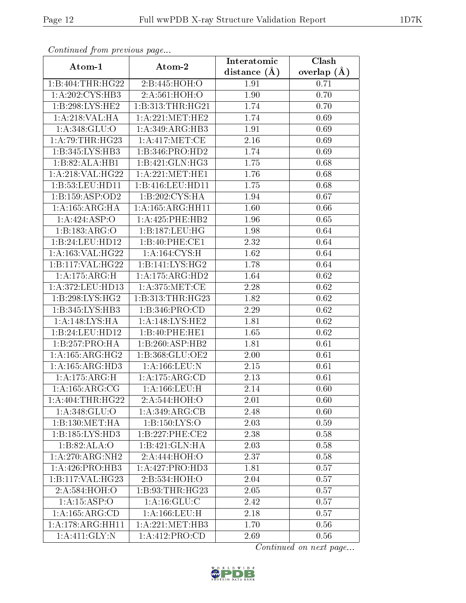| Communa from previous page   |                     | Interatomic      | Clash         |
|------------------------------|---------------------|------------------|---------------|
| Atom-1                       | Atom-2              | distance $(\AA)$ | overlap $(A)$ |
| 1:B:404:THR:HG22             | 2:B:445:HOH:O       | 1.91             | 0.71          |
| 1: A:202: CYS:HB3            | 2:A:561:HOH:O       | 1.90             | 0.70          |
| 1: B:298: LYS: HE2           | 1:B:313:THR:HG21    | 1.74             | 0.70          |
| 1:A:218:VAL:HA               | 1: A:221: MET:HE2   | 1.74             | 0.69          |
| 1: A:348: GLU:O              | 1:A:349:ARG:HB3     | 1.91             | 0.69          |
| 1: A:79:THR:HG23             | 1:A:417:MET:CE      | 2.16             | 0.69          |
| 1:B:345:LYS:HB3              | 1:B:346:PRO:HD2     | 1.74             | 0.69          |
| 1:B:82:ALA:HB1               | 1:B:421:GLN:HG3     | 1.75             | 0.68          |
| 1:A:218:VAL:HG22             | 1: A:221: MET:HE1   | 1.76             | 0.68          |
| 1:B:53:LEU:HDI1              | 1:B:416:LEU:HD11    | 1.75             | 0.68          |
| 1:B:159:ASP:OD2              | 1:B:202:CYS:HA      | 1.94             | 0.67          |
| 1: A: 165: ARG: HA           | 1:A:165:ARG:HH11    | 1.60             | 0.66          |
| 1:A:424:ASP:O                | 1:A:425:PHE:HB2     | 1.96             | 0.65          |
| 1:B:183:ARG:O                | 1:B:187:LEU:HG      | 1.98             | 0.64          |
| 1:B:24:LEU:HD12              | 1:B:40:PHE:CE1      | 2.32             | 0.64          |
| 1:A:163:VAL:HG22             | 1: A: 164: CYS:H    | 1.62             | 0.64          |
| 1:B:117:VAL:HG22             | 1:B:141:LYS:HG2     | 1.78             | 0.64          |
| 1:A:175:ARG:H                | 1:A:175:ARG:HD2     | 1.64             | 0.62          |
| 1:A:372:LEU:HD13             | 1: A:375:MET:CE     | 2.28             | 0.62          |
| 1:B:298:LYS:HG2              | 1: B:313: THR: HG23 | 1.82             | 0.62          |
| 1:B:345:LYS:HB3              | 1:B:346:PRO:CD      | 2.29             | 0.62          |
| 1:A:148:LYS:HA               | 1:A:148:LYS:HE2     | 1.81             | 0.62          |
| 1:B:24:LEU:HD12              | 1:B:40:PHE:HE1      | 1.65             | 0.62          |
| 1:B:257:PRO:HA               | 1:B:260:ASP:HB2     | 1.81             | 0.61          |
| 1: A: 165: ARG: HG2          | 1:B:368:GLU:OE2     | 2.00             | 0.61          |
| 1: A: 165: ARG: HD3          | 1: A: 166: LEU: N   | 2.15             | 0.61          |
| 1:A:175:ARG:H                | 1:A:175:ARG:CD      | 2.13             | 0.61          |
| 1: A: 165: ARG: CG           | $1: A: 166:$ LEU:H  | 2.14             | 0.60          |
| 1: A:404:THR:HG22            | 2:A:544:HOH:O       | 2.01             | 0.60          |
| 1:A:348:GLU:O                | 1:A:349:ARG:CB      | 2.48             | 0.60          |
| 1:B:130:MET:HA               | 1:B:150:LYS:O       | 2.03             | 0.59          |
| 1:B:185:LYS:HD3              | 1:B:227:PHE:CE2     | 2.38             | 0.58          |
| 1:B:82:ALA:O                 | 1:B:421:GLN:HA      | 2.03             | 0.58          |
| 1:A:270:ARG:NH2              | 2:A:444:HOH:O       | 2.37             | 0.58          |
| 1: A:426: PRO:HB3            | 1:A:427:PRO:HD3     | 1.81             | 0.57          |
| 1:B:117:VAL:HG23             | 2:B:534:HOH:O       | 2.04             | 0.57          |
| 2:A:584:HOH:O                | 1:B:93:THR:HG23     | 2.05             | 0.57          |
| 1:A:15:ASP:O                 | 1: A: 16: GLU: C    | 2.42             | 0.57          |
| 1: A: 165: ARG: CD           | 1: A: 166: LEU:H    | 2.18             | 0.57          |
| 1:A:178:ARG:HH11             | 1: A:221: MET:HB3   | 1.70             | 0.56          |
| $1: A:411: \overline{GLY:N}$ | 1:A:412:PRO:CD      | 2.69             | 0.56          |

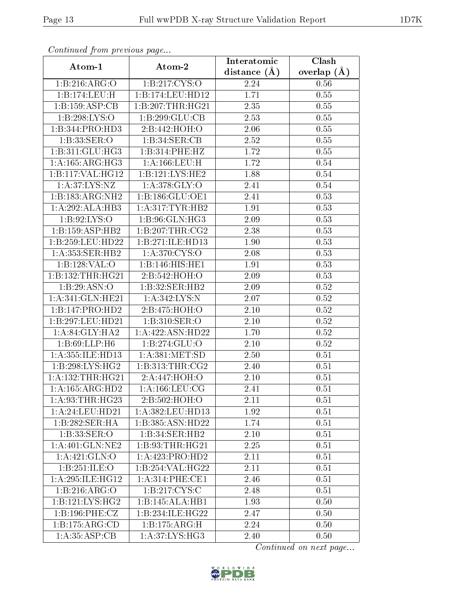| Communa from previous page |                     | Interatomic       | Clash           |
|----------------------------|---------------------|-------------------|-----------------|
| Atom-1                     | Atom-2              | distance $(\AA)$  | overlap $(\AA)$ |
| 1:B:216:ARG:O              | 1:B:217:CYS:O       | 2.24              | 0.56            |
| 1:B:174:LEU:H              | 1:B:174:LEU:HD12    | 1.71              | 0.55            |
| 1:B:159:ASP:CB             | 1:B:207:THR:HG21    | 2.35              | 0.55            |
| 1:B:298:LYS:O              | 1:B:299:GLU:CB      | 2.53              | 0.55            |
| 1:B:344:PRO:HD3            | 2:B:442:HOH:O       | 2.06              | 0.55            |
| 1:B:33:SER:O               | 1:B:34:SER:CB       | 2.52              | 0.55            |
| 1:B:311:GLU:HG3            | 1:B:314:PHE:HZ      | 1.72              | 0.55            |
| 1:A:165:ARG:HG3            | 1: A:166:LEU:H      | 1.72              | 0.54            |
| 1:B:117:VAL:HG12           | 1:B:121:LYS:HE2     | 1.88              | 0.54            |
| 1: A:37: LYS: NZ           | 1: A:378: GLY:O     | 2.41              | 0.54            |
| 1:B:183:ARG:NH2            | 1:B:186:GLU:OE1     | 2.41              | 0.53            |
| 1:A:292:ALA:HB3            | 1: A:317: TYR: HB2  | 1.91              | 0.53            |
| 1:B:92:LYS:O               | 1:B:96:GLN:HG3      | 2.09              | 0.53            |
| 1: B: 159: ASP: HB2        | 1:B:207:THR:CG2     | 2.38              | 0.53            |
| 1:B:259:LEU:HD22           | 1:B:271:ILE:HD13    | 1.90              | 0.53            |
| 1: A:353: SER: HB2         | 1: A:370: CYS:O     | 2.08              | 0.53            |
| 1:B:128:VAL:O              | 1:B:146:HIS:HE1     | 1.91              | 0.53            |
| 1:B:132:THR:HG21           | 2:B:542:HOH:O       | 2.09              | 0.53            |
| 1:B:29:ASN:O               | 1:B:32:SER:HB2      | $\overline{2.09}$ | 0.52            |
| 1:A:341:GLN:HE21           | 1:A:342:LYS:N       | 2.07              | 0.52            |
| 1:B:147:PRO:HD2            | 2:B:475:HOH:O       | $\overline{2}.10$ | 0.52            |
| 1:B:297:LEU:HD21           | 1:B:310:SER:O       | $2.10\,$          | 0.52            |
| 1: A:84: GLY:HA2           | 1:A:422:ASN:HD22    | 1.70              | 0.52            |
| 1:B:69:LLP:H6              | 1:B:274:GLU:O       | 2.10              | 0.52            |
| 1:A:355:ILE:HD13           | 1: A: 381: MET: SD  | 2.50              | 0.51            |
| 1:B:298:LYS:HG2            | 1:B:313:THR:CG2     | 2.40              | 0.51            |
| 1: A: 132: THR: HG21       | 2:A:447:HOH:O       | 2.10              | 0.51            |
| 1:A:165:ARG:HD2            | 1: A: 166: LEU: CG  | 2.41              | 0.51            |
| 1: A:93:THR:HG23           | 2:B:502:HOH:O       | 2.11              | 0.51            |
| 1: A:24:LEU:HD21           | 1:A:382:LEU:HD13    | 1.92              | 0.51            |
| 1:B:282:SER:HA             | 1:B:385:ASN:HD22    | 1.74              | 0.51            |
| 1:B:33:SER:O               | 1:B:34:SER:HB2      | 2.10              | 0.51            |
| 1: A:401: GLN:NE2          | 1: B: 93: THR: HG21 | 2.25              | 0.51            |
| 1:A:421:GLN:O              | 1:A:423:PRO:HD2     | 2.11              | 0.51            |
| 1:B:251:ILE:O              | 1:B:254:VAL:HG22    | 2.11              | 0.51            |
| 1: A:295: ILE: HG12        | 1:A:314:PHE:CE1     | 2.46              | 0.51            |
| 1: B:216: ARG:O            | 1: B: 217: CYS: C   | 2.48              | 0.51            |
| 1:B:121:LYS:HG2            | 1:B:145:ALA:HB1     | 1.93              | 0.50            |
| 1:B:196:PHE:CZ             | 1:B:234:ILE:HG22    | 2.47              | 0.50            |
| 1:B:175:ARG:CD             | 1:B:175:ARG:H       | 2.24              | 0.50            |
| 1: A: 35: ASP: CB          | 1:A:37:LYS:HG3      | 2.40              | 0.50            |

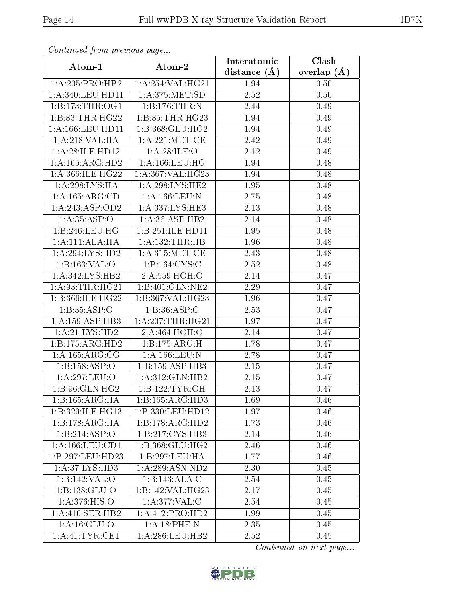| Communa from previous page |                              | Interatomic      | Clash         |
|----------------------------|------------------------------|------------------|---------------|
| Atom-1                     | Atom-2                       | distance $(\AA)$ | overlap $(A)$ |
| 1: A:205: PRO:HB2          | 1:A:254:VAL:HG21             | 1.94             | 0.50          |
| 1: A:340: LEU: HD11        | 1:A:375:MET:SD               | 2.52             | 0.50          |
| 1:B:173:THR:OG1            | 1:B:176:THR:N                | 2.44             | 0.49          |
| 1:B:83:THR:HG22            | 1:B:85:THR:HG23              | 1.94             | 0.49          |
| 1: A: 166: LEU: HD11       | 1:B:368:GLU:HG2              | 1.94             | 0.49          |
| 1:A:218:VAL:HA             | 1: A:221: MET:CE             | 2.42             | 0.49          |
| 1: A:28: ILE: HD12         | 1:A:28:ILE:O                 | 2.12             | 0.49          |
| 1: A: 165: ARG: HD2        | 1: A: 166: LEU: HG           | 1.94             | 0.48          |
| 1:A:366:ILE:HG22           | 1:A:367:VAL:HG23             | 1.94             | 0.48          |
| 1:A:298:LYS:HA             | 1:A:298:LYS:HE2              | 1.95             | 0.48          |
| 1:A:165:ARG:CD             | 1: A: 166: LEU: N            | 2.75             | 0.48          |
| 1:A:243:ASP:OD2            | 1:A:337:LYS:HE3              | 2.13             | 0.48          |
| 1: A:35:ASP:O              | 1:A:36:ASP:HB2               | 2.14             | 0.48          |
| 1:B:246:LEU:HG             | 1:B:251:ILE:HD11             | 1.95             | 0.48          |
| 1:A:111:ALA:HA             | 1:A:132:THR:HB               | 1.96             | 0.48          |
| 1:A:294:LYS:HD2            | 1: A: 315: MET:CE            | 2.43             | 0.48          |
| 1:B:163:VAL:O              | 1:B:164:CYS:C                | 2.52             | 0.48          |
| 1: A:342: LYS: HB2         | 2:A:559:HOH:O                | 2.14             | 0.47          |
| 1: A:93:THR:HG21           | 1:B:401:GLN:NE2              | 2.29             | 0.47          |
| 1:B:366:ILE:HG22           | 1:B:367:VAL:HG23             | 1.96             | 0.47          |
| 1: B: 35: ASP: O           | 1: B:36: ASP:C               | 2.53             | 0.47          |
| 1: A: 159: ASP: HB3        | 1: A:207:THR:HG21            | 1.97             | 0.47          |
| 1: A:21: LYS: HD2          | 2:A:464:HOH:O                | 2.14             | 0.47          |
| 1:B:175:ARG:HD2            | 1:B:175:ARG:H                | 1.78             | 0.47          |
| 1: A: 165: ARG: CG         | 1: A: 166: LEU: N            | 2.78             | 0.47          |
| 1:B:158:ASP:O              | 1: B: 159: ASP: HB3          | 2.15             | 0.47          |
| 1:A:297:LEU:O              | 1:A:312:GLN:HB2              | 2.15             | 0.47          |
| 1:B:96:GLN:HG2             | 1:B:122:TYR:OH               | 2.13             | 0.47          |
| 1:B:165:ARG:HA             | $1:B:165:AR\overline{G:HD3}$ | 1.69             | 0.46          |
| 1:B:329:ILE:HG13           | 1:B:330:LEU:HD12             | 1.97             | 0.46          |
| 1:B:178:ARG:HA             | $1:B:178:ARG:\overline{HD2}$ | 1.73             | 0.46          |
| 1:B:214:ASP:O              | 1:B:217:CYS:HB3              | 2.14             | 0.46          |
| 1: A: 166: LEU: CD1        | 1:B:368:GLU:HG2              | 2.46             | 0.46          |
| 1:B:297:LEU:HD23           | 1:B:297:LEU:HA               | 1.77             | 0.46          |
| 1:A:37:LYS:HD3             | 1:A:289:ASN:ND2              | 2.30             | 0.45          |
| 1:B:142:VAL:O              | 1:B:143:ALA:C                | 2.54             | 0.45          |
| 1:B:138:GLU:O              | 1:B:142:VAL:HG23             | 2.17             | 0.45          |
| 1: A:376: HIS:O            | 1:A:377:VAL:C                | 2.54             | 0.45          |
| 1: A:410: SER: HB2         | 1:A:412:PRO:HD2              | 1.99             | 0.45          |
| 1: A:16: GLU:O             | 1: A:18:PHE:N                | 2.35             | 0.45          |
| 1: A: 41: TYR: CE1         | 1:A:286:LEU:HB2              | 2.52             | 0.45          |

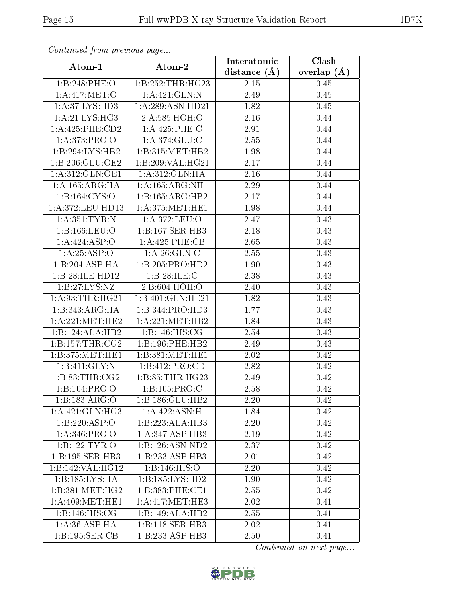| Continuea from previous page |                     | Interatomic       | Clash         |
|------------------------------|---------------------|-------------------|---------------|
| Atom-1                       | Atom-2              | distance $(A)$    | overlap $(A)$ |
| 1:B:248:PHE:O                | 1:B:252:THR:HG23    | 2.15              | 0.45          |
| 1:A:417:MET:O                | 1:A:421:GLN:N       | 2.49              | 0.45          |
| 1: A:37: LYS: HD3            | 1:A:289:ASN:HD21    | 1.82              | 0.45          |
| 1: A:21: LYS: HG3            | 2:A:585:HOH:O       | 2.16              | 0.44          |
| 1:A:425:PHE:CD2              | 1:A:425:PHE:C       | 2.91              | 0.44          |
| 1:A:373:PRO:O                | 1:A:374:GLU:C       | 2.55              | 0.44          |
| 1:B:294:LYS:HB2              | 1:B:315:MET:HB2     | 1.98              | 0.44          |
| 1:B:206:GLU:OE2              | 1:B:209:VAL:HG21    | 2.17              | 0.44          |
| 1:A:312:GLN:OE1              | 1:A:312:GLN:HA      | 2.16              | 0.44          |
| 1: A: 165: ARG: HA           | 1: A: 165: ARG: NH1 | 2.29              | 0.44          |
| 1:B:164:CYS:O                | 1:B:165:ARG:HB2     | 2.17              | 0.44          |
| 1:A:372:LEU:HD13             | 1: A:375:MET:HE1    | 1.98              | 0.44          |
| 1:A:351:TYR:N                | 1:A:372:LEU:O       | 2.47              | 0.43          |
| 1:B:166:LEU:O                | 1:B:167:SER:HB3     | 2.18              | 0.43          |
| 1:A:424:ASP:O                | 1:A:425:PHE:CB      | 2.65              | 0.43          |
| 1: A:25:ASP:O                | 1: A:26: GLN:C      | 2.55              | 0.43          |
| 1:B:204:ASP:HA               | 1:B:205:PRO:HD2     | 1.90              | 0.43          |
| 1:B:28:ILE:HD12              | 1: B:28: ILE:C      | 2.38              | 0.43          |
| 1:B:27:LYS:NZ                | 2: B:604: HOH:O     | 2.40              | 0.43          |
| 1: A:93:THR:HG21             | 1:B:401:GLN:HE21    | 1.82              | 0.43          |
| 1:B:343:ARG:HA               | 1:B:344:PRO:HD3     | 1.77              | 0.43          |
| 1: A:221: MET:HE2            | 1: A:221: MET:HB2   | 1.84              | 0.43          |
| 1:B:124:ALA:HB2              | 1: B: 146: HIS: CG  | 2.54              | 0.43          |
| 1: B: 157: THR: CG2          | 1:B:196:PHE:HB2     | 2.49              | 0.43          |
| 1:B:375:MET:HE1              | 1:B:381:MET:HE1     | 2.02              | 0.42          |
| 1: B: 411: GLY: N            | 1:B:412:PRO:CD      | $\overline{2.82}$ | 0.42          |
| 1:B:83:THR:CG2               | 1:B:85:THR:HG23     | 2.49              | 0.42          |
| 1:B:104:PRO:O                | 1:B:105:PRO:C       | 2.58              | 0.42          |
| 1:B:183:ARG:O                | 1:B:186:GLU:HB2     | 2.20              | 0.42          |
| 1: A:421: GLN: HG3           | 1:A:422:ASN:H       | 1.84              | 0.42          |
| 1:B:220:ASP:O                | 1:B:223:ALA:HB3     | 2.20              | 0.42          |
| 1: A:346: PRO:O              | 1:A:347:ASP:HB3     | 2.19              | 0.42          |
| 1:B:122:TYR:O                | 1:B:126:ASN:ND2     | 2.37              | 0.42          |
| 1:B:195:SER:HB3              | 1:B:233:ASP:HB3     | 2.01              | 0.42          |
| 1:B:142:VAL:HG12             | 1:B:146:HIS:O       | 2.20              | 0.42          |
| 1:B:185:LYS:HA               | 1:B:185:LYS:HD2     | 1.90              | 0.42          |
| 1:B:381:MET:HG2              | 1:B:383:PHE:CE1     | 2.55              | 0.42          |
| 1: A:409:MET:HE1             | 1: A:417: MET:HE3   | 2.02              | 0.41          |
| 1: B: 146: HIS: CG           | 1:B:149:ALA:HB2     | 2.55              | 0.41          |
| 1: A:36: ASP:HA              | 1:B:118:SER:HB3     | 2.02              | 0.41          |
| 1:B:195:SER:CB               | 1:B:233:ASP:HB3     | 2.50              | 0.41          |

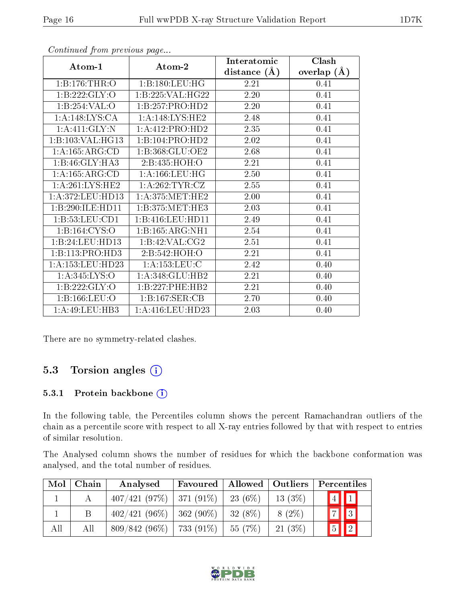|                    |                     | Interatomic       | Clash         |
|--------------------|---------------------|-------------------|---------------|
| Atom-1             | Atom-2              | distance $(A)$    | overlap $(A)$ |
| 1:B:176:THR:O      | 1:B:180:LEU:HG      | 2.21              | 0.41          |
| 1:B:222:GLY:O      | 1:B:225:VAL:HG22    | 2.20              | 0.41          |
| 1:B:254:VAL:O      | 1:B:257:PRO:HD2     | 2.20              | 0.41          |
| 1:A:148:LYS:CA     | 1:A:148:LYS:HE2     | 2.48              | 0.41          |
| 1: A:411: GLY:N    | 1:A:412:PRO:HD2     | 2.35              | 0.41          |
| 1:B:103:VAL:HG13   | 1:B:104:PRO:HD2     | 2.02              | 0.41          |
| 1: A: 165: ARG: CD | 1:B:368:GLU:OE2     | $\overline{2.68}$ | 0.41          |
| 1:B:46:GLY:HA3     | 2:B:435:HOH:O       | 2.21              | 0.41          |
| 1: A: 165: ARG: CD | 1: A: 166: LEU: HG  | 2.50              | 0.41          |
| 1: A:261:LYS:HE2   | 1:A:262:TYR:CZ      | 2.55              | 0.41          |
| 1: A:372:LEU:HD13  | 1: A:375:MET:HE2    | 2.00              | 0.41          |
| 1:B:290:ILE:HD11   | 1: B: 375: MET: HE3 | 2.03              | 0.41          |
| 1:B:53:LEU:CD1     | 1:B:416:LEU:HD11    | 2.49              | 0.41          |
| 1:Bi:164:CYS:O     | 1:B:165:ARG:NH1     | 2.54              | 0.41          |
| 1:B:24:LEU:HD13    | 1:B:42:VAL:CG2      | 2.51              | 0.41          |
| 1:B:113:PRO:HD3    | 2:B:542:HOH:O       | 2.21              | 0.41          |
| 1:A:153:LEU:HD23   | 1: A: 153: LEU: C   | 2.42              | 0.40          |
| 1:A:345:LYS:O      | 1:A:348:GLU:HB2     | 2.21              | 0.40          |
| 1:B:222:GLY:O      | 1:B:227:PHE:HB2     | 2.21              | 0.40          |
| 1:B:166:LEU:O      | 1:B:167:SER:CB      | 2.70              | 0.40          |
| 1:A:49:LEU:HB3     | 1:A:416:LEU:HD23    | 2.03              | 0.40          |

There are no symmetry-related clashes.

### 5.3 Torsion angles (i)

#### 5.3.1 Protein backbone (i)

In the following table, the Percentiles column shows the percent Ramachandran outliers of the chain as a percentile score with respect to all X-ray entries followed by that with respect to entries of similar resolution.

The Analysed column shows the number of residues for which the backbone conformation was analysed, and the total number of residues.

| Mol | Chain | Analysed                      | Favoured | Allowed   Outliers |           | Percentiles                |
|-----|-------|-------------------------------|----------|--------------------|-----------|----------------------------|
|     |       | $407/421$ (97\%)   371 (91\%) |          | $23(6\%)$          | 13(3%)    |                            |
|     | Β     | $402/421$ (96\%)   362 (90\%) |          | $32(8\%)$          | $8(2\%)$  | $\boxed{7}$ $\boxed{3}$    |
| All | All   | $809/842(96\%)$   733 (91\%)  |          | 55(7%)             | $21(3\%)$ | $\boxed{2}$<br>$\boxed{5}$ |

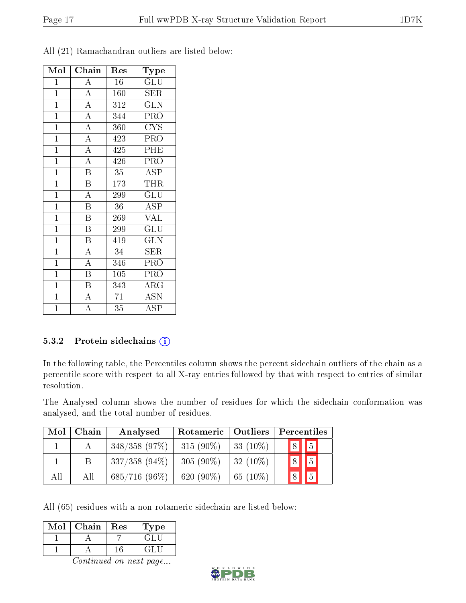| Mol            | Chain                   | Res              | Type                    |
|----------------|-------------------------|------------------|-------------------------|
| $\mathbf 1$    | $\overline{A}$          | 16               | GLU                     |
| $\overline{1}$ | $\overline{A}$          | 160              | SER                     |
| $\mathbf{1}$   | $\overline{A}$          | $\overline{312}$ | $\overline{\text{GLN}}$ |
| $\overline{1}$ | $\overline{A}$          | 344              | PRO                     |
| $\mathbf{1}$   | $\overline{\rm A}$      | 360              | <b>CYS</b>              |
| $\overline{1}$ | $\overline{A}$          | 423              | PRO                     |
| $\overline{1}$ | $\overline{A}$          | 425              | PHE                     |
| $\overline{1}$ | $\overline{A}$          | 426              | PRO                     |
| $\overline{1}$ | $\overline{\mathrm{B}}$ | 35               | ASP                     |
| $\overline{1}$ | $\overline{\mathrm{B}}$ | 173              | THR                     |
| $\overline{1}$ | $\overline{\rm A}$      | 299              | $\overline{{\rm GLU}}$  |
| $\mathbf{1}$   | B                       | 36               | ASP                     |
| $\overline{1}$ | $\overline{\mathrm{B}}$ | 269              | $\overline{\text{VAL}}$ |
| $\overline{1}$ | $\overline{\mathrm{B}}$ | 299              | GLU                     |
| $\mathbf{1}$   | $\overline{\mathrm{B}}$ | 419              | <b>GLN</b>              |
| $\overline{1}$ | $\overline{A}$          | 34               | <b>SER</b>              |
| $\mathbf{1}$   | $\overline{\rm A}$      | 346              | PRO                     |
| $\mathbf{1}$   | $\overline{\mathrm{B}}$ | 105              | PRO                     |
| $\mathbf{1}$   | $\, {\bf B}$            | 343              | $\rm{ARG}$              |
| $\overline{1}$ | $\overline{\rm A}$      | $\overline{71}$  | <b>ASN</b>              |
| $\overline{1}$ | $\overline{\rm A}$      | $\bar{3}5$       | ASP                     |

All (21) Ramachandran outliers are listed below:

#### 5.3.2 Protein sidechains  $(i)$

In the following table, the Percentiles column shows the percent sidechain outliers of the chain as a percentile score with respect to all X-ray entries followed by that with respect to entries of similar resolution.

The Analysed column shows the number of residues for which the sidechain conformation was analysed, and the total number of residues.

| Mol | Chain | Rotameric   Outliers<br>Analysed |              | Percentiles |                  |  |
|-----|-------|----------------------------------|--------------|-------------|------------------|--|
|     |       | $348/358$ (97\%)                 | $315(90\%)$  | 33 $(10\%)$ | $\sqrt{8}$   $5$ |  |
|     |       | $337/358$ (94\%)                 | $305(90\%)$  | $32(10\%)$  | 8                |  |
| All | All   | $685/716$ (96%)                  | 620 $(90\%)$ | 65 $(10\%)$ |                  |  |

All (65) residues with a non-rotameric sidechain are listed below:

| Mol | Chain | Res | Type   |
|-----|-------|-----|--------|
|     |       |     | ा देखि |
|     |       | 6   | -1419  |

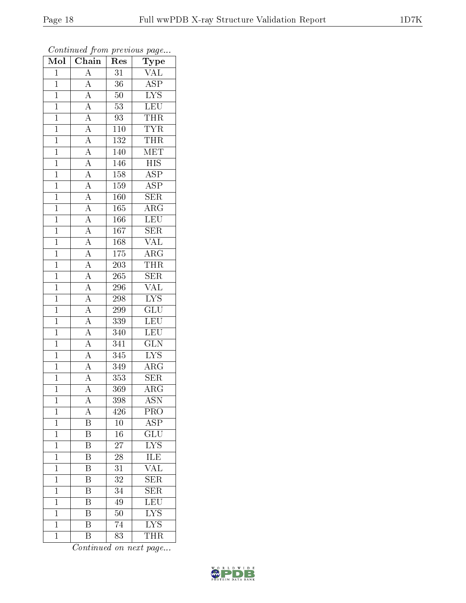| Mol            | $\overline{\text{Chain}}$                                                                                                                                                                             | Res              | $\mathrm{\bar{Ty}pe}$                     |
|----------------|-------------------------------------------------------------------------------------------------------------------------------------------------------------------------------------------------------|------------------|-------------------------------------------|
| $\mathbf{1}$   | $\overline{A}$                                                                                                                                                                                        | $\overline{31}$  | $\overline{\text{VAL}}$                   |
| $\overline{1}$ | $\overline{A}$                                                                                                                                                                                        | $\overline{36}$  | $\overline{\text{ASP}}$                   |
| $\mathbf{1}$   |                                                                                                                                                                                                       | $50\,$           | $\overline{\text{LYS}}$                   |
| $\mathbf{1}$   |                                                                                                                                                                                                       | $53\,$           | LEU                                       |
| $\overline{1}$ |                                                                                                                                                                                                       | 93               | <b>THR</b>                                |
| $\mathbf{1}$   |                                                                                                                                                                                                       | $1\,10$          | <b>TYR</b>                                |
| $\overline{1}$ |                                                                                                                                                                                                       | $\overline{132}$ | <b>THR</b>                                |
| $\mathbf{1}$   |                                                                                                                                                                                                       | 140              | MET                                       |
| $\mathbf{1}$   |                                                                                                                                                                                                       | $146\,$          | <b>HIS</b>                                |
| $\mathbf{1}$   |                                                                                                                                                                                                       | 158              | $\overline{\text{ASP}}$                   |
| $\overline{1}$ |                                                                                                                                                                                                       | 159              | $\overline{\text{ASP}}$                   |
| $\overline{1}$ |                                                                                                                                                                                                       | $\overline{160}$ | $\overline{\text{SER}}$                   |
| $\overline{1}$ |                                                                                                                                                                                                       | 165              | $\overline{\text{ARG}}$                   |
| $\mathbf{1}$   | $\frac{\boxed{A}}{\boxed{A}} \frac{\boxed{A}}{\boxed{A}} \frac{\boxed{A}}{\boxed{A}} \frac{\boxed{A}}{\boxed{A}} \frac{\boxed{A}}{\boxed{A}} \frac{\boxed{A}}{\boxed{A}} \frac{\boxed{A}}{\boxed{A}}$ | 166              | LEU                                       |
| $\overline{1}$ |                                                                                                                                                                                                       | $\overline{167}$ | $\overline{\text{SER}}$                   |
| $\mathbf{1}$   |                                                                                                                                                                                                       | 168              | <b>VAL</b>                                |
| $\overline{1}$ |                                                                                                                                                                                                       | 175              | $\overline{\rm{ARG}}$                     |
| $\mathbf{1}$   |                                                                                                                                                                                                       | 203              | THR                                       |
| $\overline{1}$ |                                                                                                                                                                                                       | 265              | $\overline{\text{SER}}$                   |
| $\mathbf{1}$   | $\frac{\overline{A}}{\overline{A}}$ $\frac{\overline{A}}{\overline{A}}$ $\frac{\overline{A}}{\overline{A}}$ $\frac{\overline{A}}{\overline{A}}$ $\frac{\overline{A}}{\overline{A}}$                   | 296              | <b>VAL</b>                                |
| $\overline{1}$ |                                                                                                                                                                                                       | 298              | $\overline{\text{LYS}}$                   |
| $\overline{1}$ |                                                                                                                                                                                                       | 299              | $\overline{\text{GLU}}$                   |
| $\mathbf{1}$   |                                                                                                                                                                                                       | 339              | LEU                                       |
| $\mathbf{1}$   |                                                                                                                                                                                                       | 340              | LEU                                       |
| $\mathbf{1}$   |                                                                                                                                                                                                       | 341              | $\overline{\text{GLN}}$                   |
| $\overline{1}$ |                                                                                                                                                                                                       | 345              | $\overline{\text{LYS}}$                   |
| $\overline{1}$ |                                                                                                                                                                                                       | 349              | $\overline{\rm{ARG}}$                     |
| $\mathbf{1}$   |                                                                                                                                                                                                       | 353              | <b>SER</b>                                |
| $\mathbf 1$    |                                                                                                                                                                                                       | 369              | $\overline{\rm{ARG}}$                     |
| $\mathbf{1}$   | А                                                                                                                                                                                                     | 398              | <b>ASN</b>                                |
| $\mathbf{1}$   | A                                                                                                                                                                                                     | 426              | PRO                                       |
| $\mathbf{1}$   | $\overline{\mathrm{B}}$                                                                                                                                                                               | 10               | $\overline{\text{ASP}}$                   |
| $\mathbf{1}$   | B                                                                                                                                                                                                     | 16               | GLU                                       |
| $\mathbf{1}$   | $\overline{\mathrm{B}}$                                                                                                                                                                               | 27               | $\overline{\text{LYS}}$                   |
| $\mathbf{1}$   | Β                                                                                                                                                                                                     | 28               | $\underline{\mathop{\mathrm{I\bar{LE}}}}$ |
| $\overline{1}$ | $\overline{\mathrm{B}}$                                                                                                                                                                               | 31               | VAL                                       |
| $\mathbf{1}$   | Β                                                                                                                                                                                                     | 32               | $\overline{\text{SER}}$                   |
| $\mathbf 1$    | B                                                                                                                                                                                                     | 34               | $\overline{\text{SER}}$                   |
| $\mathbf{1}$   | Β                                                                                                                                                                                                     | 49               | $\overline{\text{LEU}}$                   |
| $\mathbf{1}$   | Β                                                                                                                                                                                                     | 50               | <b>LYS</b>                                |
| $\mathbf{1}$   | $\overline{\mathrm{B}}$                                                                                                                                                                               | 74               | $\overline{\mathrm{LYS}}$                 |
| $\mathbf{1}$   | $\overline{\mathrm{B}}$                                                                                                                                                                               | 83               | <b>THR</b>                                |

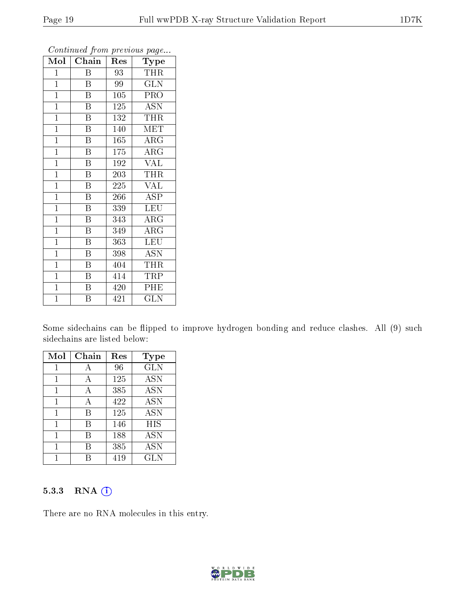| $\operatorname{Mol}$ | Chain                   | Res | Type       |
|----------------------|-------------------------|-----|------------|
| $\mathbf{1}$         | Β                       | 93  | <b>THR</b> |
| $\overline{1}$       | $\overline{B}$          | 99  | <b>GLN</b> |
| $\mathbf{1}$         | $\bar{\text{B}}$        | 105 | <b>PRO</b> |
| $\mathbf{1}$         | $\overline{\mathrm{B}}$ | 125 | <b>ASN</b> |
| $\overline{1}$       | $\overline{\mathrm{B}}$ | 132 | THR        |
| $\mathbf{1}$         | $\mathbf B$             | 140 | <b>MET</b> |
| $\mathbf{1}$         | $\overline{\mathrm{B}}$ | 165 | $\rm{ARG}$ |
| $\mathbf{1}$         | B                       | 175 | $\rm{ARG}$ |
| $\mathbf{1}$         | $\overline{B}$          | 192 | <b>VAL</b> |
| $\overline{1}$       | $\overline{\mathrm{B}}$ | 203 | THR        |
| $\mathbf{1}$         | B                       | 225 | <b>VAL</b> |
| $\mathbf{1}$         | $\overline{\mathrm{B}}$ | 266 | ASP        |
| $\mathbf{1}$         | $\overline{B}$          | 339 | <b>LEU</b> |
| $\mathbf{1}$         | $\overline{B}$          | 343 | ARG        |
| $\mathbf{1}$         | $\overline{\mathrm{B}}$ | 349 | $\rm{ARG}$ |
| $\mathbf{1}$         | B                       | 363 | <b>LEU</b> |
| $\mathbf{1}$         | $\overline{\mathrm{B}}$ | 398 | <b>ASN</b> |
| $\mathbf{1}$         | $\overline{\mathrm{B}}$ | 404 | THR        |
| $\mathbf{1}$         | B                       | 414 | TRP        |
| $\overline{1}$       | $\overline{\mathbf{B}}$ | 420 | PHE        |
| $\overline{1}$       | B                       | 421 | <b>GLN</b> |

Some sidechains can be flipped to improve hydrogen bonding and reduce clashes. All (9) such sidechains are listed below:

| Mol | Chain | Res | Type       |
|-----|-------|-----|------------|
| 1   | А     | 96  | <b>GLN</b> |
| 1   | А     | 125 | <b>ASN</b> |
|     | А     | 385 | <b>ASN</b> |
| 1   | А     | 422 | <b>ASN</b> |
| 1   | В     | 125 | <b>ASN</b> |
| 1   | В     | 146 | HIS        |
| 1   | В     | 188 | <b>ASN</b> |
| 1   | В     | 385 | <b>ASN</b> |
|     |       | 419 | <b>GLN</b> |

#### 5.3.3 RNA [O](https://www.wwpdb.org/validation/2017/XrayValidationReportHelp#rna)i

There are no RNA molecules in this entry.

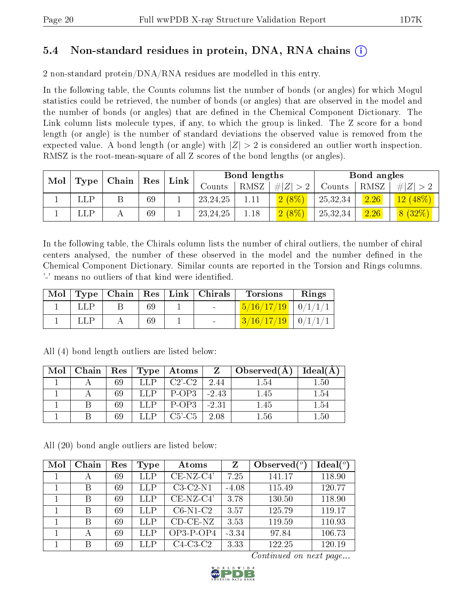### 5.4 Non-standard residues in protein, DNA, RNA chains (i)

2 non-standard protein/DNA/RNA residues are modelled in this entry.

In the following table, the Counts columns list the number of bonds (or angles) for which Mogul statistics could be retrieved, the number of bonds (or angles) that are observed in the model and the number of bonds (or angles) that are dened in the Chemical Component Dictionary. The Link column lists molecule types, if any, to which the group is linked. The Z score for a bond length (or angle) is the number of standard deviations the observed value is removed from the expected value. A bond length (or angle) with  $|Z| > 2$  is considered an outlier worth inspection. RMSZ is the root-mean-square of all Z scores of the bond lengths (or angles).

| Mol |                      |       | $\operatorname{Res}$ | Link |            | Bond lengths |          |          | Bond angles |            |
|-----|----------------------|-------|----------------------|------|------------|--------------|----------|----------|-------------|------------|
|     | $\bm{\mathrm{Type}}$ | Chain |                      |      | Counts     | RMSZ         | $\# Z $  | Counts   | RMSZ        | Z          |
|     | LLP                  |       | 69                   |      | 23, 24, 25 |              | $2(8\%)$ | 25,32,34 | 2.26        | $12(48\%)$ |
|     | LLP                  |       | 69                   |      | 23, 24, 25 | 1.18         | $2(8\%)$ | 25,32,34 | 2.26        | 8(32%)     |

In the following table, the Chirals column lists the number of chiral outliers, the number of chiral centers analysed, the number of these observed in the model and the number defined in the Chemical Component Dictionary. Similar counts are reported in the Torsion and Rings columns. '-' means no outliers of that kind were identified.

| Mol |            |  | Type   Chain   Res   Link   Chirals | <b>Torsions</b>                        | Rings |
|-----|------------|--|-------------------------------------|----------------------------------------|-------|
|     | <b>LLP</b> |  | <b>Contract Contract</b>            | $\frac{5}{16}/\frac{17}{19}$   0/1/1/1 |       |
|     |            |  |                                     | $3/16/17/19$ 0/1/1/1                   |       |

| Mol | Chain | $\mathbf{Res}^+$ | Type | Atoms        | Z       | $\Box$ Observed(A) | Ideal(A) |
|-----|-------|------------------|------|--------------|---------|--------------------|----------|
|     |       | 69               | LLP. | $C2'-C2$     | 2.44    | 1.54               | 1.50     |
|     |       | -69              |      | P-OP3        | $-2.43$ | 1.45               | 1.54     |
|     |       | 69               |      | P-OP3        | $-2.31$ | 1.45               | 1.54     |
|     |       | 69               |      | $C5'$ - $C5$ | 2.08    | $1.56\,$           | 1.50     |

All (4) bond length outliers are listed below:

All (20) bond angle outliers are listed below:

| Mol | Chain | Res | Type | Atoms              | $\mathbf{Z}$ | Observed $(°)$ | Ideal(°) |
|-----|-------|-----|------|--------------------|--------------|----------------|----------|
|     |       | 69  | LLP  | $CE-NZ-C4'$        | 7.25         | 141.17         | 118.90   |
|     | В     | 69  | LLP  | $C3-C2-N1$         | $-4.08$      | 115.49         | 120.77   |
|     | В     | 69  | LLP  | $CE-NZ-C4'$        | 3.78         | 130.50         | 118.90   |
|     | В     | 69  | LLP  | $C6-N1-C2$         | 3.57         | 125.79         | 119.17   |
|     | В     | 69  | LLP  | $CD$ - $CE$ - $NZ$ | 3.53         | 119.59         | 110.93   |
|     | А     | 69  | LLP  | $OP3-POP4$         | $-3.34$      | 97.84          | 106.73   |
|     | В     | 69  | LLP  | $C4-C3-C2$         | 3.33         | 122.25         | 120.19   |

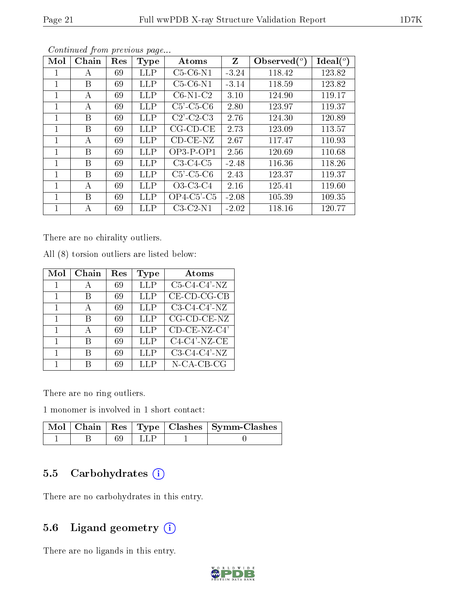| Mol | Chain | Res | <b>Type</b> | Atoms                         | Z       | Observed $(°)$ | Ideal(°) |
|-----|-------|-----|-------------|-------------------------------|---------|----------------|----------|
| 1   | А     | 69  | <b>LLP</b>  | $C5-C6-N1$                    | $-3.24$ | 118.42         | 123.82   |
| 1   | B     | 69  | <b>LLP</b>  | $C5-C6-N1$                    | $-3.14$ | 118.59         | 123.82   |
| 1   | А     | 69  | <b>LLP</b>  | $C6-N1-C2$                    | 3.10    | 124.90         | 119.17   |
| 1   | А     | 69  | <b>LLP</b>  | $C5'$ - $C5$ - $C6$           | 2.80    | 123.97         | 119.37   |
| 1   | B     | 69  | <b>LLP</b>  | $C2$ <sup>-</sup> $C2$ - $C3$ | 2.76    | 124.30         | 120.89   |
| 1   | B     | 69  | <b>LLP</b>  | $CG$ - $CD$ - $CE$            | 2.73    | 123.09         | 113.57   |
| 1   | А     | 69  | <b>LLP</b>  | $CD$ - $CE$ - $NZ$            | 2.67    | 117.47         | 110.93   |
| 1   | B     | 69  | <b>LLP</b>  | $OP3-POP1$                    | 2.56    | 120.69         | 110.68   |
| 1   | B     | 69  | <b>LLP</b>  | $C3-C4-C5$                    | $-2.48$ | 116.36         | 118.26   |
| 1   | B     | 69  | <b>LLP</b>  | $C5'$ - $C5$ - $C6$           | 2.43    | 123.37         | 119.37   |
| 1   | А     | 69  | <b>LLP</b>  | $O3-C3-C4$                    | 2.16    | 125.41         | 119.60   |
|     | B     | 69  | <b>LLP</b>  | $OP4-C5'$ - $C5$              | $-2.08$ | 105.39         | 109.35   |
| 1   | А     | 69  | <b>LLP</b>  | $C3-C2-N1$                    | $-2.02$ | 118.16         | 120.77   |

There are no chirality outliers.

All (8) torsion outliers are listed below:

| Mol          | Chain | $\operatorname{Res}% \left( \mathcal{N}\right) \equiv\operatorname{Res}(\mathcal{N}_{0},\mathcal{N}_{0})$ | Type | Atoms                      |
|--------------|-------|-----------------------------------------------------------------------------------------------------------|------|----------------------------|
|              |       | 69                                                                                                        | LLP  | $C5-C4-C4'$ -NZ            |
|              | В     | 69                                                                                                        | LLP  | $CE$ -CD-CG-CB             |
| $\mathbf{1}$ | А     | 69                                                                                                        | LLP  | $C3-C4-C4'$ -NZ            |
| $\mathbf{1}$ | В     | 69                                                                                                        | LLP  | $\overline{CG}$ -CD-CE-NZ  |
| 1            | А     | 69                                                                                                        | LLP  | CD-CE-NZ-C4'               |
|              | В     | 69                                                                                                        | LLP  | $C4-C4'$ -NZ-CE            |
|              | В     | 69                                                                                                        | LLP  | $\overline{C3-C4-C4}$ '-NZ |
|              |       | 69                                                                                                        | LLP  | N-CA-CB-CG                 |

There are no ring outliers.

1 monomer is involved in 1 short contact:

|  |        | Mol   Chain   Res   Type   Clashes   Symm-Clashes |
|--|--------|---------------------------------------------------|
|  | -1 LLP |                                                   |

#### 5.5 Carbohydrates (i)

There are no carbohydrates in this entry.

### 5.6 Ligand geometry (i)

There are no ligands in this entry.

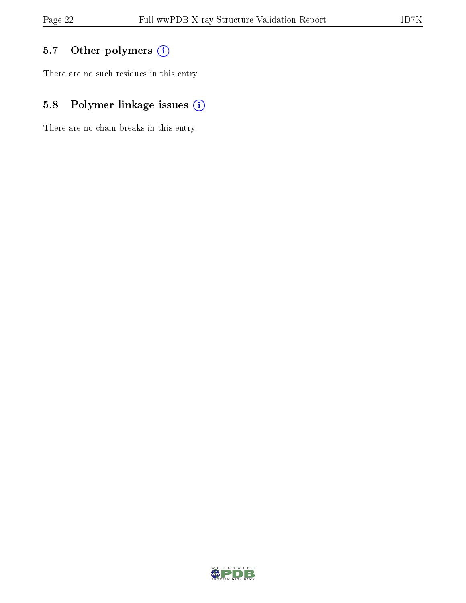## 5.7 [O](https://www.wwpdb.org/validation/2017/XrayValidationReportHelp#nonstandard_residues_and_ligands)ther polymers (i)

There are no such residues in this entry.

## 5.8 Polymer linkage issues (i)

There are no chain breaks in this entry.